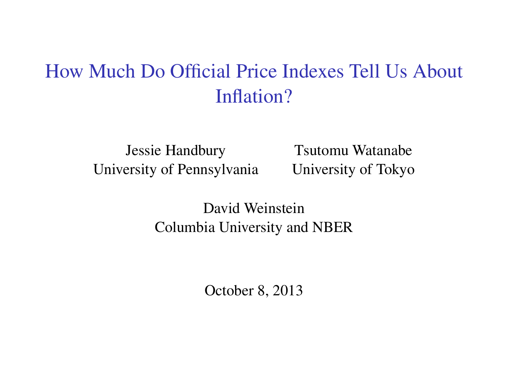## How Much Do Official Price Indexes Tell Us About Inflation?

Jessie Handbury Tsutomu Watanabe University of Pennsylvania University of Tokyo

David Weinstein Columbia University and NBER

October 8, 2013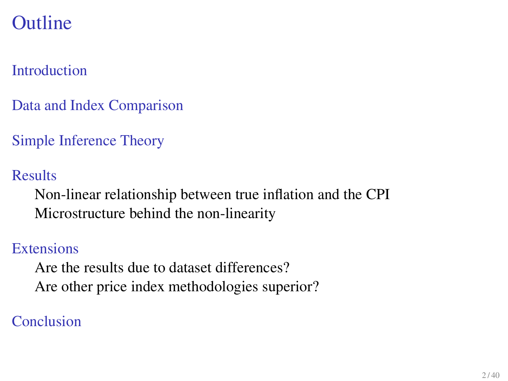### [Introduction](#page-2-0)

[Data and Index Comparison](#page-7-0)

[Simple Inference Theory](#page-15-0)

[Results](#page-19-0)

[Non-linear relationship between true inflation and the CPI](#page-20-0) [Microstructure behind the non-linearity](#page-25-0)

#### **[Extensions](#page-29-0)**

[Are the results due to dataset differences?](#page-32-0) [Are other price index methodologies superior?](#page-34-0)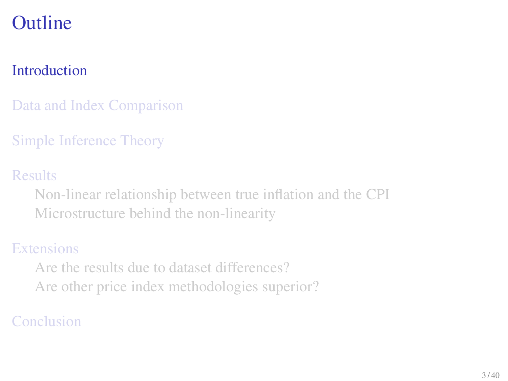### [Introduction](#page-2-0)

[Data and Index Comparison](#page-7-0)

[Simple Inference Theory](#page-15-0)

[Results](#page-19-0)

[Non-linear relationship between true inflation and the CPI](#page-20-0) [Microstructure behind the non-linearity](#page-25-0)

#### **[Extensions](#page-29-0)**

<span id="page-2-0"></span>[Are the results due to dataset differences?](#page-32-0) [Are other price index methodologies superior?](#page-34-0)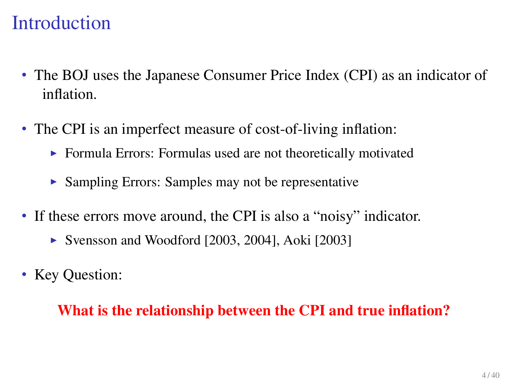## **Introduction**

- The BOJ uses the Japanese Consumer Price Index (CPI) as an indicator of inflation.
- The CPI is an imperfect measure of cost-of-living inflation:
	- $\triangleright$  Formula Errors: Formulas used are not theoretically motivated
	- $\triangleright$  Sampling Errors: Samples may not be representative
- If these errors move around, the CPI is also a "noisy" indicator.
	- $\triangleright$  Svensson and Woodford [2003, 2004], Aoki [2003]
- Key Question:

#### What is the relationship between the CPI and true inflation?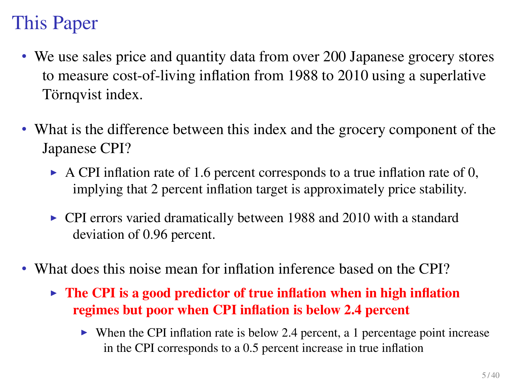# This Paper

- We use sales price and quantity data from over 200 Japanese grocery stores to measure cost-of-living inflation from 1988 to 2010 using a superlative Törnqvist index.
- What is the difference between this index and the grocery component of the Japanese CPI?
	- $\triangleright$  A CPI inflation rate of 1.6 percent corresponds to a true inflation rate of 0, implying that 2 percent inflation target is approximately price stability.
	- $\triangleright$  CPI errors varied dramatically between 1988 and 2010 with a standard deviation of 0.96 percent.
- What does this noise mean for inflation inference based on the CPI?
	- $\triangleright$  The CPI is a good predictor of true inflation when in high inflation regimes but poor when CPI inflation is below 2.4 percent
		- $\triangleright$  When the CPI inflation rate is below 2.4 percent, a 1 percentage point increase in the CPI corresponds to a 0.5 percent increase in true inflation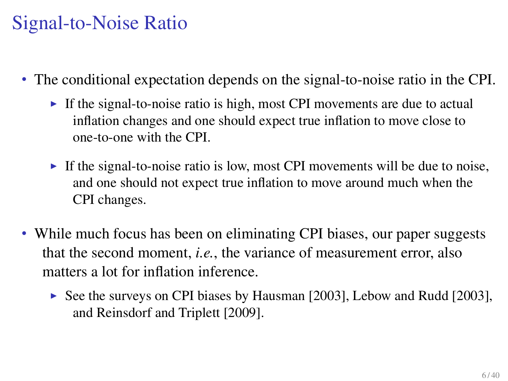# Signal-to-Noise Ratio

- The conditional expectation depends on the signal-to-noise ratio in the CPI.
	- If the signal-to-noise ratio is high, most CPI movements are due to actual inflation changes and one should expect true inflation to move close to one-to-one with the CPI.
	- If the signal-to-noise ratio is low, most CPI movements will be due to noise, and one should not expect true inflation to move around much when the CPI changes.
- While much focus has been on eliminating CPI biases, our paper suggests that the second moment, *i.e.*, the variance of measurement error, also matters a lot for inflation inference.
	- $\triangleright$  See the surveys on CPI biases by Hausman [2003], Lebow and Rudd [2003], and Reinsdorf and Triplett [2009].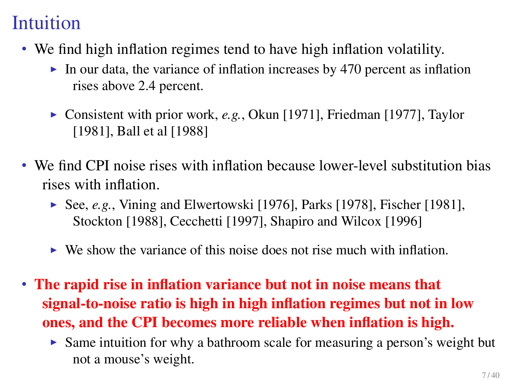# Intuition

- We find high inflation regimes tend to have high inflation volatility.
	- In our data, the variance of inflation increases by 470 percent as inflation rises above 2.4 percent.
	- ► Consistent with prior work, *e.g.*, Okun [1971], Friedman [1977], Taylor [1981], Ball et al [1988]
- We find CPI noise rises with inflation because lower-level substitution bias rises with inflation.
	- $\blacktriangleright$  See, *e.g.*, Vining and Elwertowski [1976], Parks [1978], Fischer [1981], Stockton [1988], Cecchetti [1997], Shapiro and Wilcox [1996]
	- $\triangleright$  We show the variance of this noise does not rise much with inflation.
- The rapid rise in inflation variance but not in noise means that signal-to-noise ratio is high in high inflation regimes but not in low ones, and the CPI becomes more reliable when inflation is high.
	- $\triangleright$  Same intuition for why a bathroom scale for measuring a person's weight but not a mouse's weight.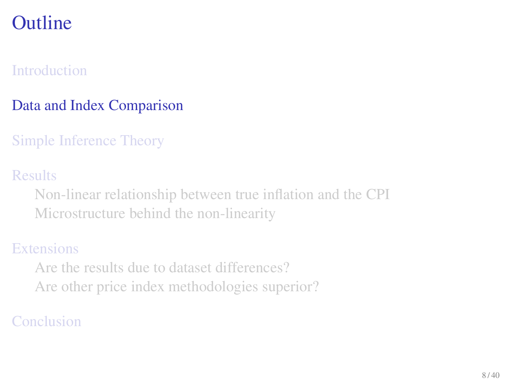### [Introduction](#page-2-0)

### [Data and Index Comparison](#page-7-0)

[Simple Inference Theory](#page-15-0)

[Results](#page-19-0)

[Non-linear relationship between true inflation and the CPI](#page-20-0) [Microstructure behind the non-linearity](#page-25-0)

### **[Extensions](#page-29-0)**

<span id="page-7-0"></span>[Are the results due to dataset differences?](#page-32-0) [Are other price index methodologies superior?](#page-34-0)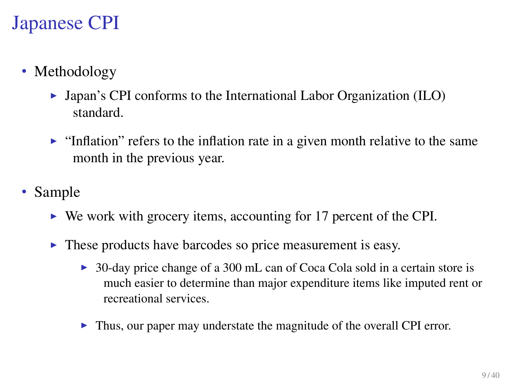# Japanese CPI

- Methodology
	- $\triangleright$  Japan's CPI conforms to the International Labor Organization (ILO) standard.
	- Inflation" refers to the inflation rate in a given month relative to the same month in the previous year.
- Sample
	- $\triangleright$  We work with grocery items, accounting for 17 percent of the CPI.
	- $\triangleright$  These products have barcodes so price measurement is easy.
		- 30-day price change of a 300 mL can of Coca Cola sold in a certain store is much easier to determine than major expenditure items like imputed rent or recreational services.
		- $\blacktriangleright$  Thus, our paper may understate the magnitude of the overall CPI error.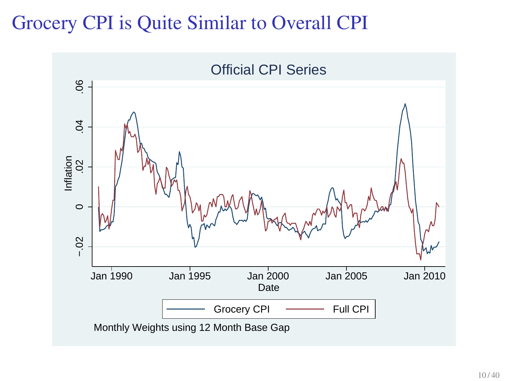## Grocery CPI is Quite Similar to Overall CPI

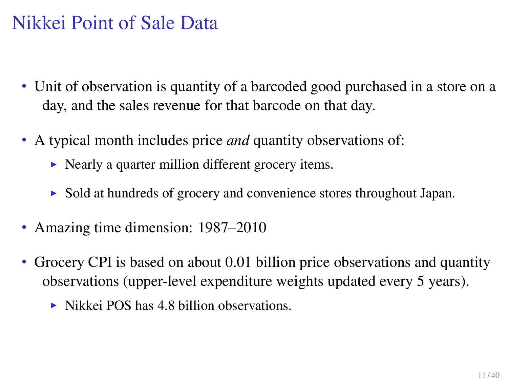# Nikkei Point of Sale Data

- Unit of observation is quantity of a barcoded good purchased in a store on a day, and the sales revenue for that barcode on that day.
- A typical month includes price *and* quantity observations of:
	- $\triangleright$  Nearly a quarter million different grocery items.
	- $\triangleright$  Sold at hundreds of grocery and convenience stores throughout Japan.
- Amazing time dimension: 1987–2010
- Grocery CPI is based on about 0.01 billion price observations and quantity observations (upper-level expenditure weights updated every 5 years).
	- $\triangleright$  Nikkei POS has 4.8 billion observations.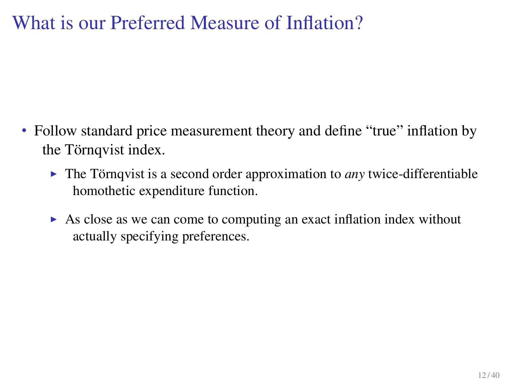### What is our Preferred Measure of Inflation?

- Follow standard price measurement theory and define "true" inflation by the Törnqvist index.
	- $\triangleright$  The Törnqvist is a second order approximation to *any* twice-differentiable homothetic expenditure function.
	- $\triangleright$  As close as we can come to computing an exact inflation index without actually specifying preferences.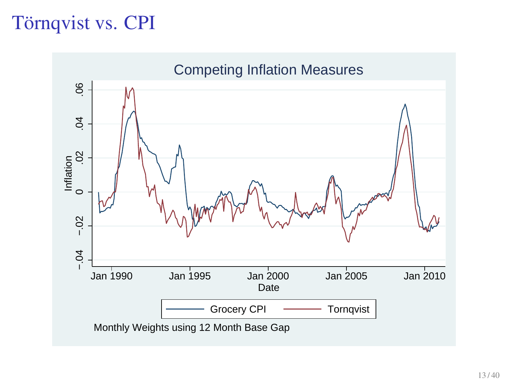# Törnqvist vs. CPI

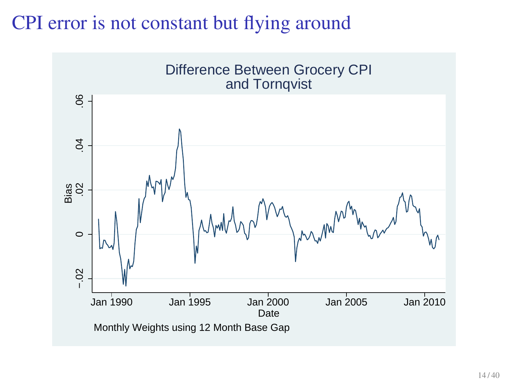### CPI error is not constant but flying around

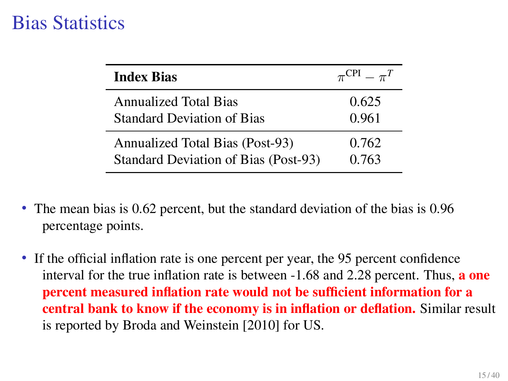## Bias Statistics

| <b>Index Bias</b>                      | $\pi^{\rm CPI} = \pi^T$ |
|----------------------------------------|-------------------------|
| <b>Annualized Total Bias</b>           | 0.625                   |
| <b>Standard Deviation of Bias</b>      | 0.961                   |
| <b>Annualized Total Bias (Post-93)</b> | 0.762                   |
| Standard Deviation of Bias (Post-93)   | 0.763                   |

- The mean bias is 0.62 percent, but the standard deviation of the bias is 0.96 percentage points.
- If the official inflation rate is one percent per year, the 95 percent confidence interval for the true inflation rate is between -1.68 and 2.28 percent. Thus, a one percent measured inflation rate would not be sufficient information for a central bank to know if the economy is in inflation or deflation. Similar result is reported by Broda and Weinstein [2010] for US.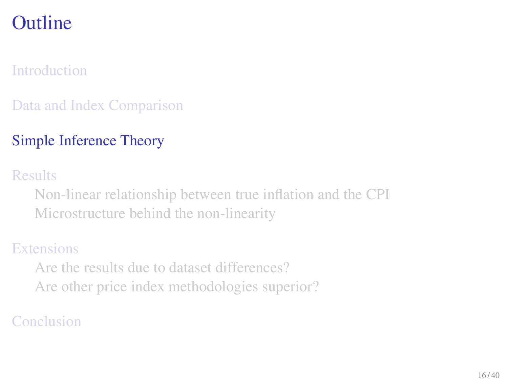### [Introduction](#page-2-0)

### [Data and Index Comparison](#page-7-0)

### [Simple Inference Theory](#page-15-0)

#### [Results](#page-19-0)

[Non-linear relationship between true inflation and the CPI](#page-20-0) [Microstructure behind the non-linearity](#page-25-0)

#### **[Extensions](#page-29-0)**

<span id="page-15-0"></span>[Are the results due to dataset differences?](#page-32-0) [Are other price index methodologies superior?](#page-34-0)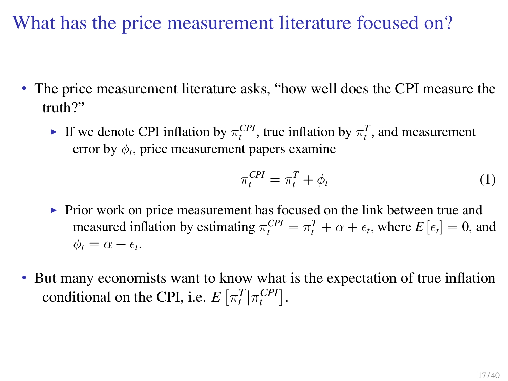What has the price measurement literature focused on?

- The price measurement literature asks, "how well does the CPI measure the truth?"
	- If we denote CPI inflation by  $\pi_t^{CPI}$ , true inflation by  $\pi_t^T$ , and measurement error by  $\phi_t$ , price measurement papers examine

$$
\pi_t^{CPI} = \pi_t^T + \phi_t \tag{1}
$$

- $\triangleright$  Prior work on price measurement has focused on the link between true and measured inflation by estimating  $\pi_t^{CPI} = \pi_t^T + \alpha + \epsilon_t$ , where  $E[\epsilon_t] = 0$ , and  $\phi_t = \alpha + \epsilon_t.$
- But many economists want to know what is the expectation of true inflation conditional on the CPI, i.e.  $E\left[\pi_t^T | \pi_t^{CPI}\right]$ .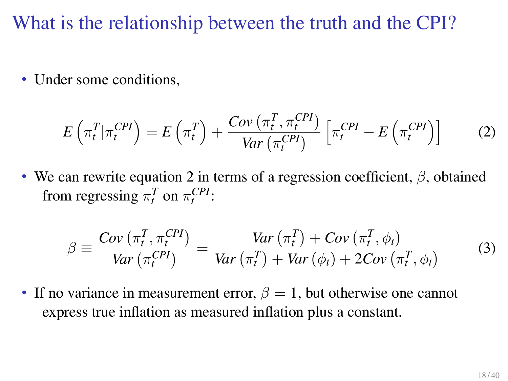What is the relationship between the truth and the CPI?

• Under some conditions,

<span id="page-17-0"></span>
$$
E\left(\pi_t^T|\pi_t^{CPI}\right) = E\left(\pi_t^T\right) + \frac{Cov\left(\pi_t^T, \pi_t^{CPI}\right)}{Var\left(\pi_t^{CPI}\right)} \left[\pi_t^{CPI} - E\left(\pi_t^{CPI}\right)\right]
$$
(2)

• We can rewrite equation [2](#page-17-0) in terms of a regression coefficient, *β*, obtained from regressing  $\pi_t^T$  on  $\pi_t^{CPI}$ :

$$
\beta \equiv \frac{Cov\left(\pi_t^T, \pi_t^{CPI}\right)}{Var\left(\pi_t^{CPI}\right)} = \frac{Var\left(\pi_t^T\right) + Cov\left(\pi_t^T, \phi_t\right)}{Var\left(\pi_t^T\right) + Var\left(\phi_t\right) + 2Cov\left(\pi_t^T, \phi_t\right)}\tag{3}
$$

• If no variance in measurement error,  $\beta = 1$ , but otherwise one cannot express true inflation as measured inflation plus a constant.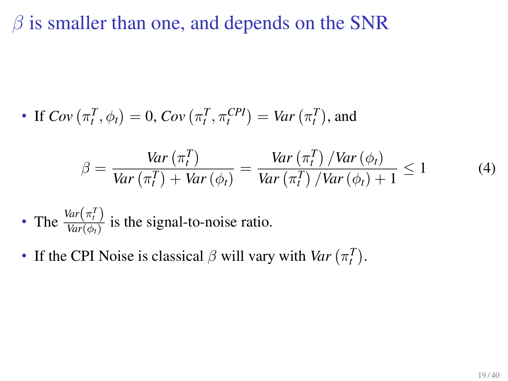### *β* is smaller than one, and depends on the SNR

• If 
$$
Cov(\pi_t^T, \phi_t) = 0
$$
,  $Cov(\pi_t^T, \pi_t^{CPI}) = Var(\pi_t^T)$ , and

$$
\beta = \frac{Var\left(\pi_t^T\right)}{Var\left(\pi_t^T\right) + Var\left(\phi_t\right)} = \frac{Var\left(\pi_t^T\right) / Var\left(\phi_t\right)}{Var\left(\pi_t^T\right) / Var\left(\phi_t\right) + 1} \le 1 \tag{4}
$$

- The  $\frac{Var(\pi_t^T)}{Var(\phi_t)}$  $\frac{\partial u(t)}{\partial a(t)}$  is the signal-to-noise ratio.
- If the CPI Noise is classical  $\beta$  will vary with *Var*  $(\pi_t^T)$ .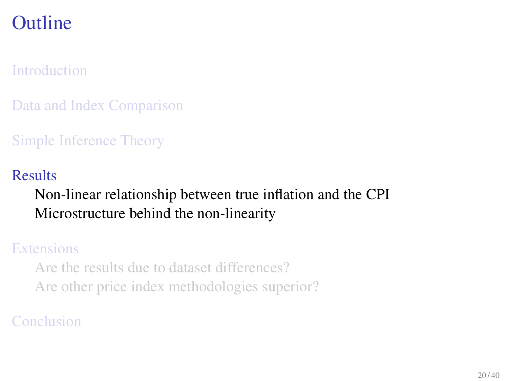### [Introduction](#page-2-0)

[Data and Index Comparison](#page-7-0)

[Simple Inference Theory](#page-15-0)

#### [Results](#page-19-0)

### [Non-linear relationship between true inflation and the CPI](#page-20-0) [Microstructure behind the non-linearity](#page-25-0)

#### [Extensions](#page-29-0)

<span id="page-19-0"></span>[Are the results due to dataset differences?](#page-32-0) [Are other price index methodologies superior?](#page-34-0)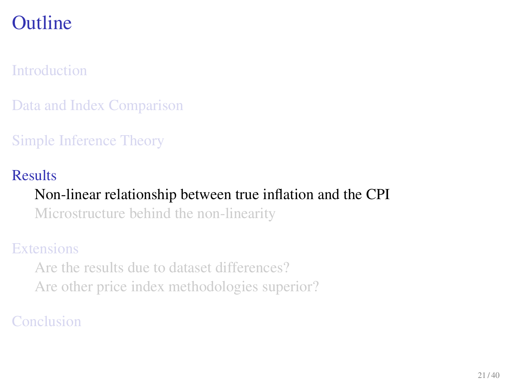### [Introduction](#page-2-0)

[Data and Index Comparison](#page-7-0)

[Simple Inference Theory](#page-15-0)

#### [Results](#page-19-0)

### [Non-linear relationship between true inflation and the CPI](#page-20-0)

[Microstructure behind the non-linearity](#page-25-0)

### **[Extensions](#page-29-0)**

<span id="page-20-0"></span>[Are the results due to dataset differences?](#page-32-0) [Are other price index methodologies superior?](#page-34-0)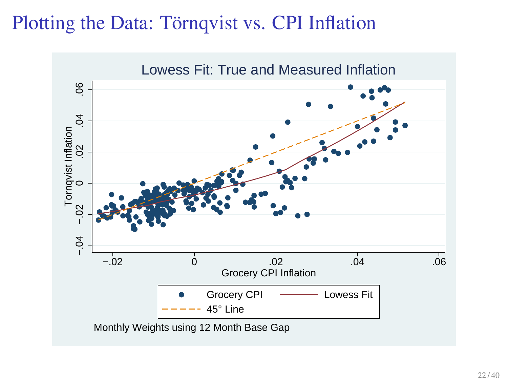### Plotting the Data: Törnqvist vs. CPI Inflation

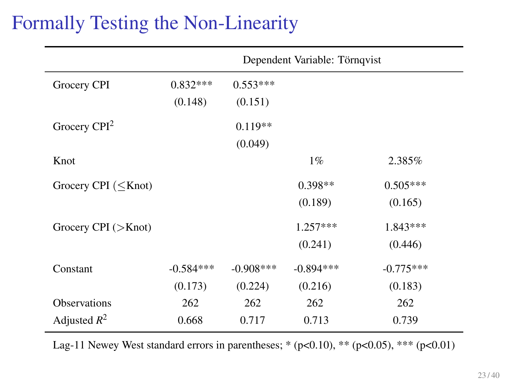## Formally Testing the Non-Linearity

|                              | Dependent Variable: Törnqvist |              |             |             |
|------------------------------|-------------------------------|--------------|-------------|-------------|
| Grocery CPI                  | $0.832***$                    | $0.553***$   |             |             |
|                              | (0.148)                       | (0.151)      |             |             |
| Grocery $CPI2$               |                               | $0.119**$    |             |             |
|                              |                               | (0.049)      |             |             |
| Knot                         |                               |              | $1\%$       | 2.385%      |
| Grocery CPI $(<$ Knot)       |                               |              | $0.398**$   | $0.505***$  |
|                              |                               |              | (0.189)     | (0.165)     |
| Grocery CPI $(>\text{Knot})$ |                               |              | $1.257***$  | $1.843***$  |
|                              |                               |              | (0.241)     | (0.446)     |
| Constant                     | $-0.584***$                   | $-0.908$ *** | $-0.894***$ | $-0.775***$ |
|                              | (0.173)                       | (0.224)      | (0.216)     | (0.183)     |
| <b>Observations</b>          | 262                           | 262          | 262         | 262         |
| Adjusted $R^2$               | 0.668                         | 0.717        | 0.713       | 0.739       |

Lag-11 Newey West standard errors in parentheses; \*  $(p<0.10)$ , \*\* $(p<0.05)$ , \*\*\*  $(p<0.01)$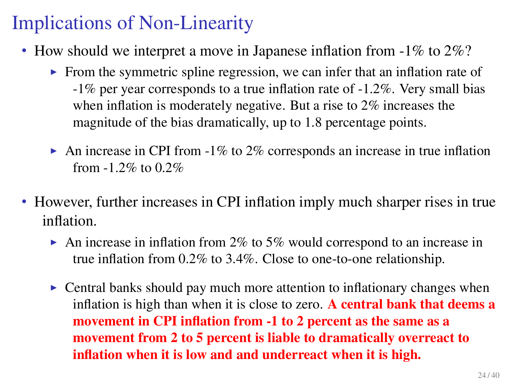# Implications of Non-Linearity

- How should we interpret a move in Japanese inflation from -1% to 2%?
	- $\triangleright$  From the symmetric spline regression, we can infer that an inflation rate of -1% per year corresponds to a true inflation rate of -1.2%. Very small bias when inflation is moderately negative. But a rise to 2% increases the magnitude of the bias dramatically, up to 1.8 percentage points.
	- An increase in CPI from  $-1\%$  to  $2\%$  corresponds an increase in true inflation from -1.2% to 0.2%
- However, further increases in CPI inflation imply much sharper rises in true inflation.
	- An increase in inflation from 2% to 5% would correspond to an increase in true inflation from 0.2% to 3.4%. Close to one-to-one relationship.
	- $\triangleright$  Central banks should pay much more attention to inflationary changes when inflation is high than when it is close to zero. A central bank that deems a movement in CPI inflation from -1 to 2 percent as the same as a movement from 2 to 5 percent is liable to dramatically overreact to inflation when it is low and and underreact when it is high.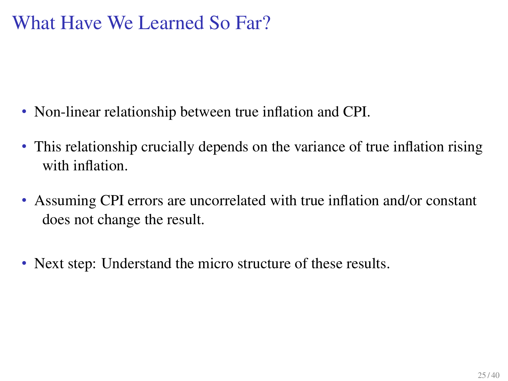### What Have We Learned So Far?

- Non-linear relationship between true inflation and CPI.
- This relationship crucially depends on the variance of true inflation rising with inflation.
- Assuming CPI errors are uncorrelated with true inflation and/or constant does not change the result.
- Next step: Understand the micro structure of these results.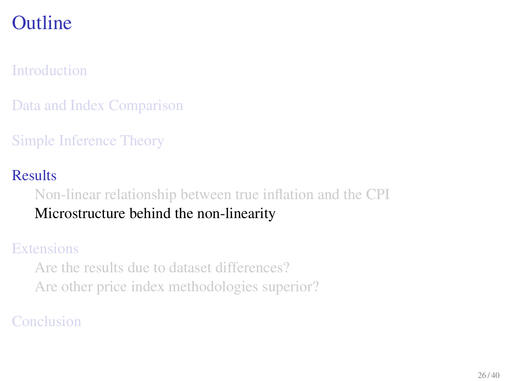### [Introduction](#page-2-0)

[Data and Index Comparison](#page-7-0)

[Simple Inference Theory](#page-15-0)

#### [Results](#page-19-0)

[Non-linear relationship between true inflation and the CPI](#page-20-0) [Microstructure behind the non-linearity](#page-25-0)

#### **[Extensions](#page-29-0)**

<span id="page-25-0"></span>[Are the results due to dataset differences?](#page-32-0) [Are other price index methodologies superior?](#page-34-0)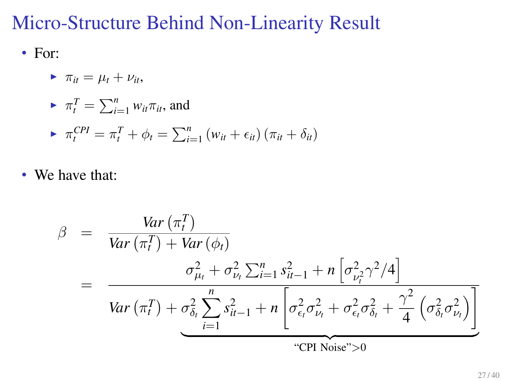### Micro-Structure Behind Non-Linearity Result

• For:

$$
\blacktriangleright \pi_{it} = \mu_t + \nu_{it},
$$

$$
\blacktriangleright \ \pi_t^T = \sum_{i=1}^n w_{it} \pi_{it}, \text{ and}
$$

$$
\blacktriangleright \ \pi_t^{CPI} = \pi_t^T + \phi_t = \sum_{i=1}^n (w_{it} + \epsilon_{it}) (\pi_{it} + \delta_{it})
$$

• We have that:

$$
\beta = \frac{Var(\pi_t^T)}{Var(\pi_t^T) + Var(\phi_t)}
$$
\n
$$
= \frac{\sigma_{\mu_t}^2 + \sigma_{\nu_t}^2 \sum_{i=1}^n s_{it-1}^2 + n \left[ \sigma_{\nu_t}^2 \gamma^2 / 4 \right]}{Var(\pi_t^T) + \sigma_{\delta_t}^2 \sum_{i=1}^n s_{it-1}^2 + n \left[ \sigma_{\epsilon_t}^2 \sigma_{\nu_t}^2 + \sigma_{\epsilon_t}^2 \sigma_{\delta_t}^2 + \frac{\gamma^2}{4} \left( \sigma_{\delta_t}^2 \sigma_{\nu_t}^2 \right) \right]}
$$
\n"CPI Noise" >0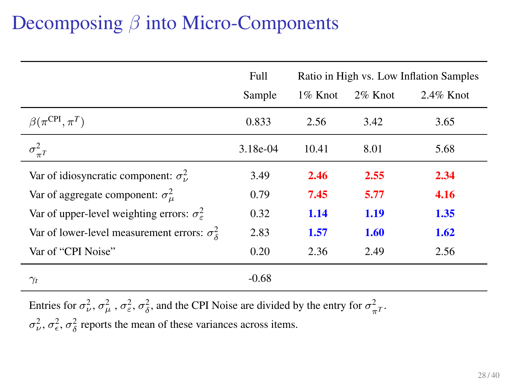# Decomposing *β* into Micro-Components

|                                                               | Full       | Ratio in High vs. Low Inflation Samples |            |              |
|---------------------------------------------------------------|------------|-----------------------------------------|------------|--------------|
|                                                               | Sample     | 1% Knot                                 | $2\%$ Knot | $2.4\%$ Knot |
| $\beta(\pi^{\rm CPI}, \pi^T)$                                 | 0.833      | 2.56                                    | 3.42       | 3.65         |
| $\sigma_{\pi^T}^2$                                            | $3.18e-04$ | 10.41                                   | 8.01       | 5.68         |
| Var of idiosyncratic component: $\sigma_v^2$                  | 3.49       | 2.46                                    | 2.55       | 2.34         |
| Var of aggregate component: $\sigma_{\mu}^2$                  | 0.79       | 7.45                                    | 5.77       | 4.16         |
| Var of upper-level weighting errors: $\sigma_{\varepsilon}^2$ | 0.32       | 1.14                                    | 1.19       | 1.35         |
| Var of lower-level measurement errors: $\sigma_s^2$           | 2.83       | 1.57                                    | 1.60       | 1.62         |
| Var of "CPI Noise"                                            | 0.20       | 2.36                                    | 2.49       | 2.56         |
| $\gamma_t$                                                    | $-0.68$    |                                         |            |              |

Entries for  $\sigma_{\nu}^2$ ,  $\sigma_{\mu}^2$ ,  $\sigma_{\varepsilon}^2$ ,  $\sigma_{\delta}^2$ , and the CPI Noise are divided by the entry for  $\sigma_{\pi}^2$ .

 $\sigma_{\nu}^2$ ,  $\sigma_{\epsilon}^2$ ,  $\sigma_{\delta}^2$  reports the mean of these variances across items.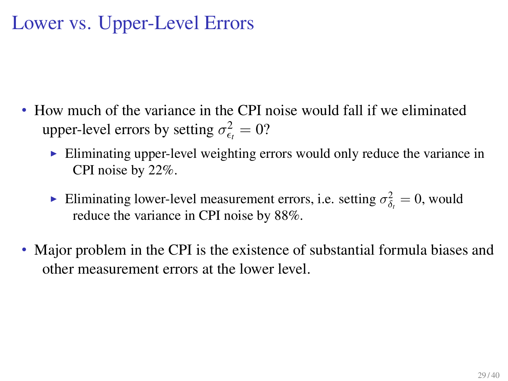## Lower vs. Upper-Level Errors

- How much of the variance in the CPI noise would fall if we eliminated upper-level errors by setting  $\sigma_{\epsilon_t}^2 = 0$ ?
	- $\triangleright$  Eliminating upper-level weighting errors would only reduce the variance in CPI noise by 22%.
	- Eliminating lower-level measurement errors, i.e. setting  $\sigma_{\delta_t}^2 = 0$ , would reduce the variance in CPI noise by 88%.
- Major problem in the CPI is the existence of substantial formula biases and other measurement errors at the lower level.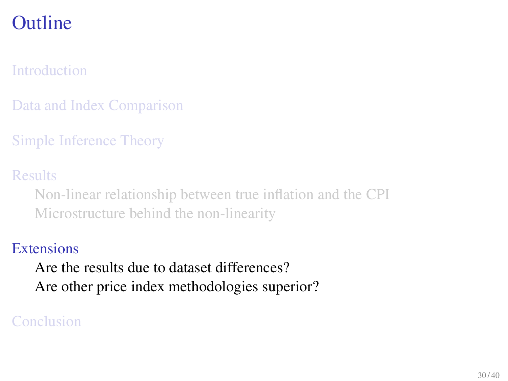[Introduction](#page-2-0)

[Data and Index Comparison](#page-7-0)

[Simple Inference Theory](#page-15-0)

[Results](#page-19-0)

[Non-linear relationship between true inflation and the CPI](#page-20-0) [Microstructure behind the non-linearity](#page-25-0)

#### **[Extensions](#page-29-0)**

<span id="page-29-0"></span>[Are the results due to dataset differences?](#page-32-0) [Are other price index methodologies superior?](#page-34-0)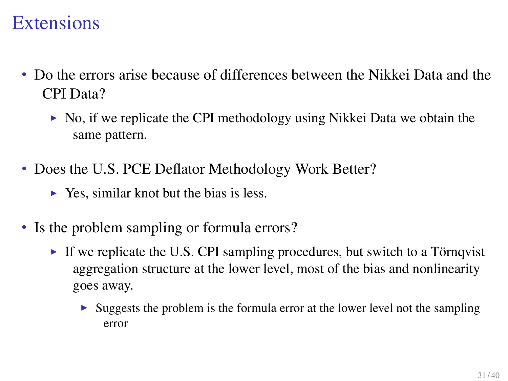### **Extensions**

- Do the errors arise because of differences between the Nikkei Data and the CPI Data?
	- $\triangleright$  No, if we replicate the CPI methodology using Nikkei Data we obtain the same pattern.
- Does the U.S. PCE Deflator Methodology Work Better?
	- $\triangleright$  Yes, similar knot but the bias is less.
- Is the problem sampling or formula errors?
	- If we replicate the U.S. CPI sampling procedures, but switch to a Törnqvist aggregation structure at the lower level, most of the bias and nonlinearity goes away.
		- $\triangleright$  Suggests the problem is the formula error at the lower level not the sampling error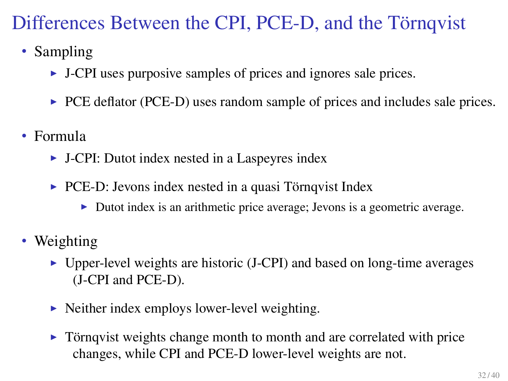# Differences Between the CPI, PCE-D, and the Törnqvist

- Sampling
	- $\triangleright$  J-CPI uses purposive samples of prices and ignores sale prices.
	- $\triangleright$  PCE deflator (PCE-D) uses random sample of prices and includes sale prices.
- Formula
	- $\triangleright$  J-CPI: Dutot index nested in a Laspeyres index
	- $\triangleright$  PCE-D: Jevons index nested in a quasi Törnqvist Index
		- In Dutot index is an arithmetic price average; Jevons is a geometric average.
- Weighting
	- $\triangleright$  Upper-level weights are historic (J-CPI) and based on long-time averages (J-CPI and PCE-D).
	- $\triangleright$  Neither index employs lower-level weighting.
	- $\triangleright$  Törnqvist weights change month to month and are correlated with price changes, while CPI and PCE-D lower-level weights are not.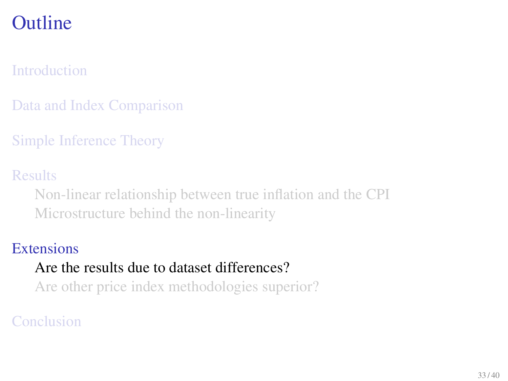### [Introduction](#page-2-0)

[Data and Index Comparison](#page-7-0)

[Simple Inference Theory](#page-15-0)

[Results](#page-19-0)

[Non-linear relationship between true inflation and the CPI](#page-20-0) [Microstructure behind the non-linearity](#page-25-0)

#### **[Extensions](#page-29-0)**

#### [Are the results due to dataset differences?](#page-32-0)

<span id="page-32-0"></span>[Are other price index methodologies superior?](#page-34-0)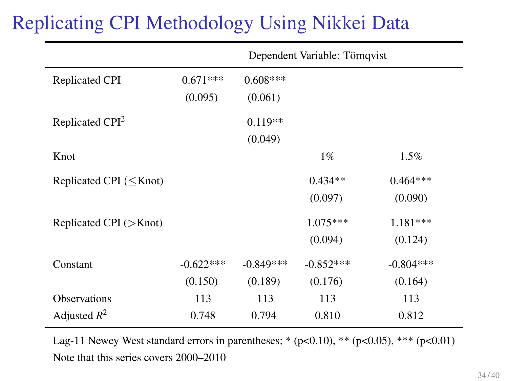# Replicating CPI Methodology Using Nikkei Data

|                              | Dependent Variable: Törnqvist |             |             |             |
|------------------------------|-------------------------------|-------------|-------------|-------------|
| Replicated CPI               | $0.671***$                    | $0.608***$  |             |             |
|                              | (0.095)                       | (0.061)     |             |             |
| Replicated CPI <sup>2</sup>  |                               | $0.119**$   |             |             |
|                              |                               | (0.049)     |             |             |
| Knot                         |                               |             | $1\%$       | 1.5%        |
| Replicated CPI $(<$ Knot)    |                               |             | $0.434**$   | $0.464***$  |
|                              |                               |             | (0.097)     | (0.090)     |
| Replicated CPI $($ >Knot $)$ |                               |             | $1.075***$  | $1.181***$  |
|                              |                               |             | (0.094)     | (0.124)     |
| Constant                     | $-0.622***$                   | $-0.849***$ | $-0.852***$ | $-0.804***$ |
|                              | (0.150)                       | (0.189)     | (0.176)     | (0.164)     |
| <b>Observations</b>          | 113                           | 113         | 113         | 113         |
| Adjusted $R^2$               | 0.748                         | 0.794       | 0.810       | 0.812       |

Lag-11 Newey West standard errors in parentheses; \* (p<0.10), \*\* (p<0.05), \*\*\* (p<0.01) Note that this series covers 2000–2010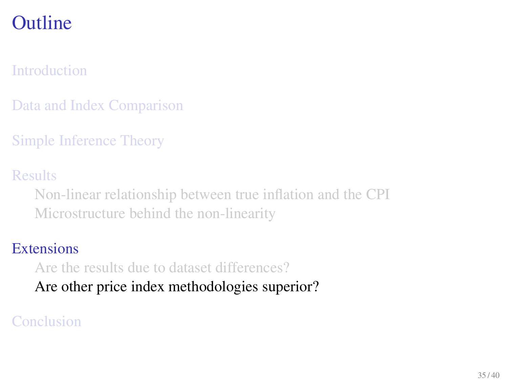### [Introduction](#page-2-0)

[Data and Index Comparison](#page-7-0)

[Simple Inference Theory](#page-15-0)

[Results](#page-19-0)

[Non-linear relationship between true inflation and the CPI](#page-20-0) [Microstructure behind the non-linearity](#page-25-0)

#### **[Extensions](#page-29-0)**

[Are the results due to dataset differences?](#page-32-0)

<span id="page-34-0"></span>[Are other price index methodologies superior?](#page-34-0)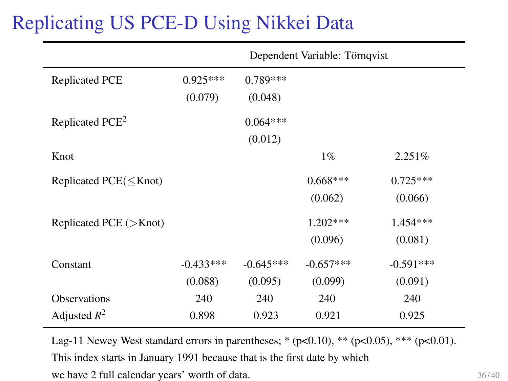# Replicating US PCE-D Using Nikkei Data

|                                 | Dependent Variable: Törnqvist |                       |             |             |
|---------------------------------|-------------------------------|-----------------------|-------------|-------------|
| <b>Replicated PCE</b>           | $0.925***$<br>(0.079)         | $0.789***$<br>(0.048) |             |             |
| Replicated PCE <sup>2</sup>     |                               | $0.064***$<br>(0.012) |             |             |
| Knot                            |                               |                       | $1\%$       | 2.251%      |
| Replicated $PCE(<$ Knot)        |                               |                       | $0.668***$  | $0.725***$  |
|                                 |                               |                       | (0.062)     | (0.066)     |
| Replicated PCE $(>\text{Knot})$ |                               |                       | $1.202***$  | 1.454 ***   |
|                                 |                               |                       | (0.096)     | (0.081)     |
| Constant                        | $-0.433***$                   | $-0.645***$           | $-0.657***$ | $-0.591***$ |
|                                 | (0.088)                       | (0.095)               | (0.099)     | (0.091)     |
| <b>Observations</b>             | 240                           | 240                   | 240         | 240         |
| Adjusted $R^2$                  | 0.898                         | 0.923                 | 0.921       | 0.925       |

Lag-11 Newey West standard errors in parentheses; \* (p<0.10), \*\* (p<0.05), \*\*\* (p<0.01). This index starts in January 1991 because that is the first date by which we have 2 full calendar years' worth of data.  $36/40$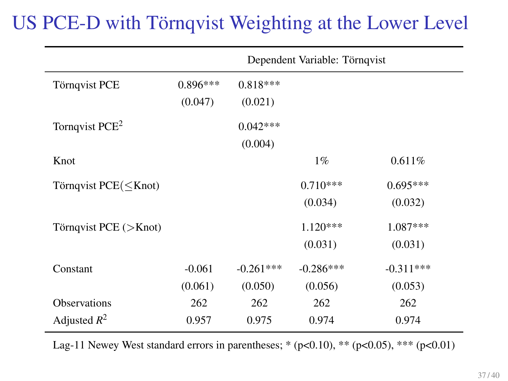# US PCE-D with Törnqvist Weighting at the Lower Level

|                                                                                                                      | Dependent Variable: Törnqvist |                       |             |             |
|----------------------------------------------------------------------------------------------------------------------|-------------------------------|-----------------------|-------------|-------------|
| Törnqvist PCE                                                                                                        | $0.896***$<br>(0.047)         | $0.818***$<br>(0.021) |             |             |
| Tornqvist PCE <sup>2</sup>                                                                                           |                               | $0.042***$<br>(0.004) |             |             |
| Knot                                                                                                                 |                               |                       | $1\%$       | 0.611%      |
| Törnqvist PCE( <knot)< td=""><td></td><td></td><td><math>0.710***</math></td><td><math>0.695***</math></td></knot)<> |                               |                       | $0.710***$  | $0.695***$  |
|                                                                                                                      |                               |                       | (0.034)     | (0.032)     |
| Törnqvist PCE (>Knot)                                                                                                |                               |                       | $1.120***$  | $1.087***$  |
|                                                                                                                      |                               |                       | (0.031)     | (0.031)     |
| Constant                                                                                                             | $-0.061$                      | $-0.261***$           | $-0.286***$ | $-0.311***$ |
|                                                                                                                      | (0.061)                       | (0.050)               | (0.056)     | (0.053)     |
| <b>Observations</b>                                                                                                  | 262                           | 262                   | 262         | 262         |
| Adjusted $R^2$                                                                                                       | 0.957                         | 0.975                 | 0.974       | 0.974       |

Lag-11 Newey West standard errors in parentheses; \*  $(p<0.10)$ , \*\* $(p<0.05)$ , \*\*\*  $(p<0.01)$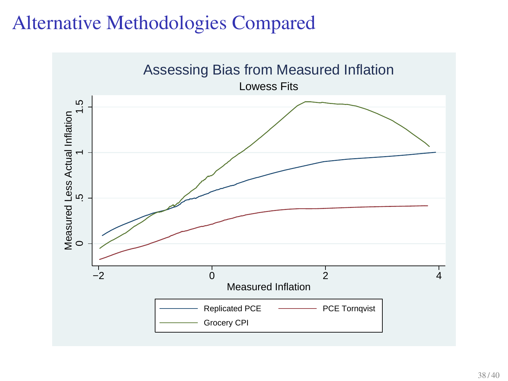## Alternative Methodologies Compared

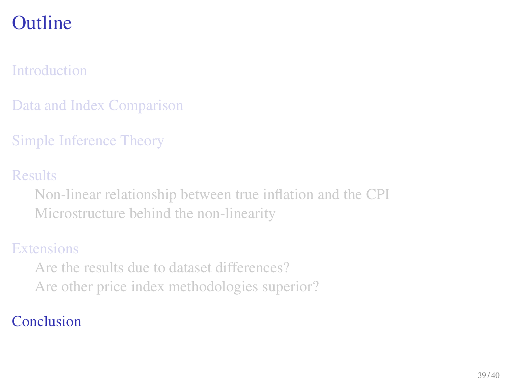### [Introduction](#page-2-0)

[Data and Index Comparison](#page-7-0)

[Simple Inference Theory](#page-15-0)

[Results](#page-19-0)

[Non-linear relationship between true inflation and the CPI](#page-20-0) [Microstructure behind the non-linearity](#page-25-0)

### **[Extensions](#page-29-0)**

<span id="page-38-0"></span>[Are the results due to dataset differences?](#page-32-0) [Are other price index methodologies superior?](#page-34-0)